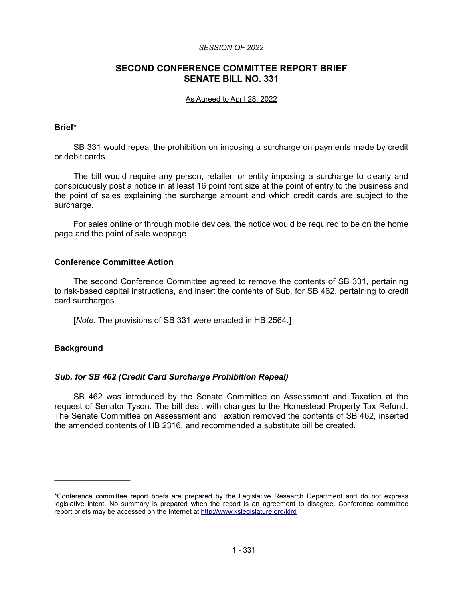#### *SESSION OF 2022*

# **SECOND CONFERENCE COMMITTEE REPORT BRIEF SENATE BILL NO. 331**

#### As Agreed to April 28, 2022

## **Brief\***

SB 331 would repeal the prohibition on imposing a surcharge on payments made by credit or debit cards.

The bill would require any person, retailer, or entity imposing a surcharge to clearly and conspicuously post a notice in at least 16 point font size at the point of entry to the business and the point of sales explaining the surcharge amount and which credit cards are subject to the surcharge.

For sales online or through mobile devices, the notice would be required to be on the home page and the point of sale webpage.

## **Conference Committee Action**

The second Conference Committee agreed to remove the contents of SB 331, pertaining to risk-based capital instructions, and insert the contents of Sub. for SB 462, pertaining to credit card surcharges.

[*Note:* The provisions of SB 331 were enacted in HB 2564.]

## **Background**

 $\mathcal{L}=\{1,2,3,4,5\}$ 

## *Sub. for SB 462 (Credit Card Surcharge Prohibition Repeal)*

SB 462 was introduced by the Senate Committee on Assessment and Taxation at the request of Senator Tyson. The bill dealt with changes to the Homestead Property Tax Refund. The Senate Committee on Assessment and Taxation removed the contents of SB 462, inserted the amended contents of HB 2316, and recommended a substitute bill be created.

<sup>\*</sup>Conference committee report briefs are prepared by the Legislative Research Department and do not express legislative intent. No summary is prepared when the report is an agreement to disagree. Conference committee report briefs may be accessed on the Internet at<http://www.kslegislature.org/klrd>